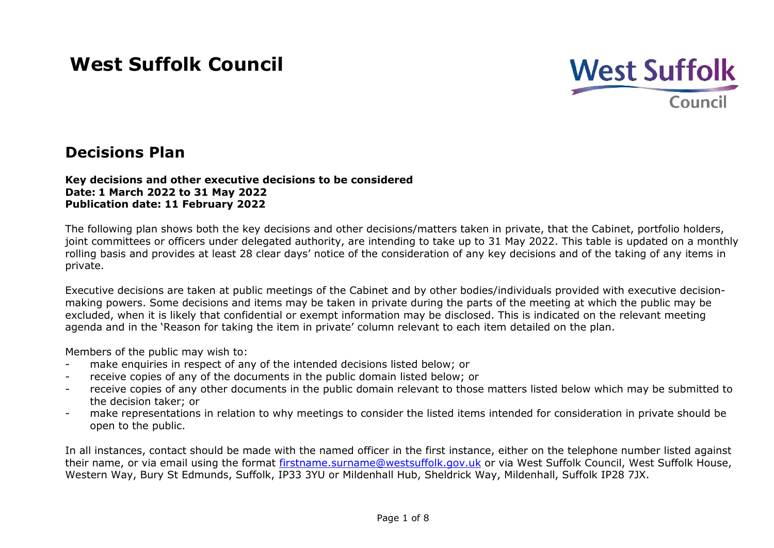# **West Suffolk Council**



# **Decisions Plan**

#### **Key decisions and other executive decisions to be considered Date: 1 March 2022 to 31 May 2022 Publication date: 11 February 2022**

The following plan shows both the key decisions and other decisions/matters taken in private, that the Cabinet, portfolio holders, joint committees or officers under delegated authority, are intending to take up to 31 May 2022. This table is updated on a monthly rolling basis and provides at least 28 clear days' notice of the consideration of any key decisions and of the taking of any items in private.

Executive decisions are taken at public meetings of the Cabinet and by other bodies/individuals provided with executive decisionmaking powers. Some decisions and items may be taken in private during the parts of the meeting at which the public may be excluded, when it is likely that confidential or exempt information may be disclosed. This is indicated on the relevant meeting agenda and in the 'Reason for taking the item in private' column relevant to each item detailed on the plan.

Members of the public may wish to:

- make enquiries in respect of any of the intended decisions listed below; or
- receive copies of any of the documents in the public domain listed below; or
- receive copies of any other documents in the public domain relevant to those matters listed below which may be submitted to the decision taker; or
- make representations in relation to why meetings to consider the listed items intended for consideration in private should be open to the public.

In all instances, contact should be made with the named officer in the first instance, either on the telephone number listed against their name, or via email using the format [firstname.surname@westsuffolk.gov.uk](mailto:firstname.surname@westsuffolk.gov.uk) or via West Suffolk Council, West Suffolk House, Western Way, Bury St Edmunds, Suffolk, IP33 3YU or Mildenhall Hub, Sheldrick Way, Mildenhall, Suffolk IP28 7JX.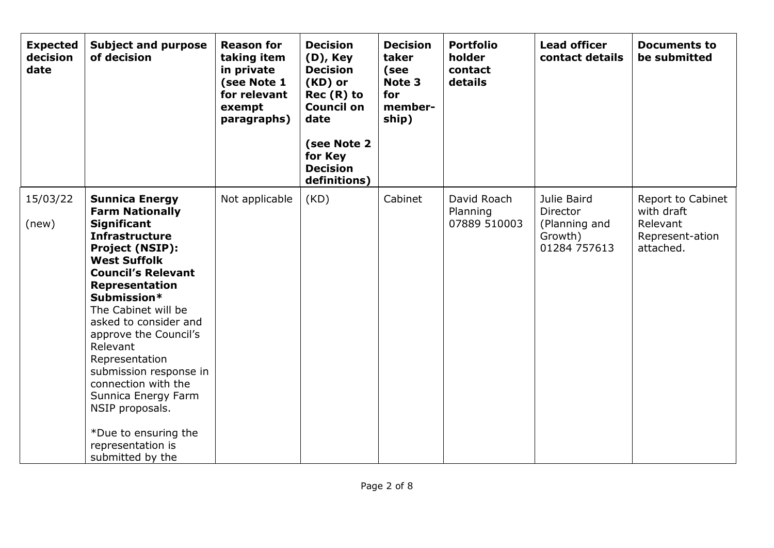| <b>Expected</b><br>decision<br>date | <b>Subject and purpose</b><br>of decision                                                                                                                                                                                                                                                                                                                                                                                                                                        | <b>Reason for</b><br>taking item<br>in private<br>(see Note 1<br>for relevant<br>exempt<br>paragraphs) | <b>Decision</b><br>(D), Key<br><b>Decision</b><br>(KD) or<br>$Rec(R)$ to<br><b>Council on</b><br>date<br>(see Note 2<br>for Key<br><b>Decision</b><br>definitions) | <b>Decision</b><br>taker<br>(see<br>Note 3<br>for<br>member-<br>ship) | <b>Portfolio</b><br>holder<br>contact<br>details | <b>Lead officer</b><br>contact details                              | <b>Documents to</b><br>be submitted                                         |
|-------------------------------------|----------------------------------------------------------------------------------------------------------------------------------------------------------------------------------------------------------------------------------------------------------------------------------------------------------------------------------------------------------------------------------------------------------------------------------------------------------------------------------|--------------------------------------------------------------------------------------------------------|--------------------------------------------------------------------------------------------------------------------------------------------------------------------|-----------------------------------------------------------------------|--------------------------------------------------|---------------------------------------------------------------------|-----------------------------------------------------------------------------|
| 15/03/22<br>(new)                   | <b>Sunnica Energy</b><br><b>Farm Nationally</b><br><b>Significant</b><br><b>Infrastructure</b><br><b>Project (NSIP):</b><br><b>West Suffolk</b><br><b>Council's Relevant</b><br>Representation<br>Submission*<br>The Cabinet will be<br>asked to consider and<br>approve the Council's<br>Relevant<br>Representation<br>submission response in<br>connection with the<br>Sunnica Energy Farm<br>NSIP proposals.<br>*Due to ensuring the<br>representation is<br>submitted by the | Not applicable                                                                                         | (KD)                                                                                                                                                               | Cabinet                                                               | David Roach<br>Planning<br>07889 510003          | Julie Baird<br>Director<br>(Planning and<br>Growth)<br>01284 757613 | Report to Cabinet<br>with draft<br>Relevant<br>Represent-ation<br>attached. |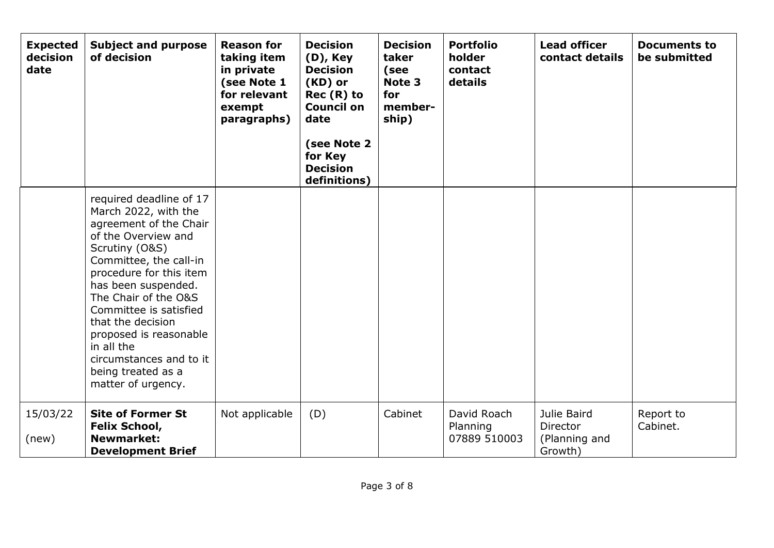| <b>Expected</b><br>decision<br>date | <b>Subject and purpose</b><br>of decision                                                                                                                                                                                                                                                                                                                                            | <b>Reason for</b><br>taking item<br>in private<br>(see Note 1<br>for relevant<br>exempt<br>paragraphs) | <b>Decision</b><br>$(D)$ , Key<br><b>Decision</b><br>(KD) or<br>$Rec(R)$ to<br><b>Council on</b><br>date<br>(see Note 2<br>for Key<br><b>Decision</b><br>definitions) | <b>Decision</b><br>taker<br>(see<br>Note 3<br>for<br>member-<br>ship) | <b>Portfolio</b><br>holder<br>contact<br>details | <b>Lead officer</b><br>contact details              | <b>Documents to</b><br>be submitted |
|-------------------------------------|--------------------------------------------------------------------------------------------------------------------------------------------------------------------------------------------------------------------------------------------------------------------------------------------------------------------------------------------------------------------------------------|--------------------------------------------------------------------------------------------------------|-----------------------------------------------------------------------------------------------------------------------------------------------------------------------|-----------------------------------------------------------------------|--------------------------------------------------|-----------------------------------------------------|-------------------------------------|
|                                     | required deadline of 17<br>March 2022, with the<br>agreement of the Chair<br>of the Overview and<br>Scrutiny (O&S)<br>Committee, the call-in<br>procedure for this item<br>has been suspended.<br>The Chair of the O&S<br>Committee is satisfied<br>that the decision<br>proposed is reasonable<br>in all the<br>circumstances and to it<br>being treated as a<br>matter of urgency. |                                                                                                        |                                                                                                                                                                       |                                                                       |                                                  |                                                     |                                     |
| 15/03/22<br>(new)                   | <b>Site of Former St</b><br><b>Felix School,</b><br><b>Newmarket:</b><br><b>Development Brief</b>                                                                                                                                                                                                                                                                                    | Not applicable                                                                                         | (D)                                                                                                                                                                   | Cabinet                                                               | David Roach<br>Planning<br>07889 510003          | Julie Baird<br>Director<br>(Planning and<br>Growth) | Report to<br>Cabinet.               |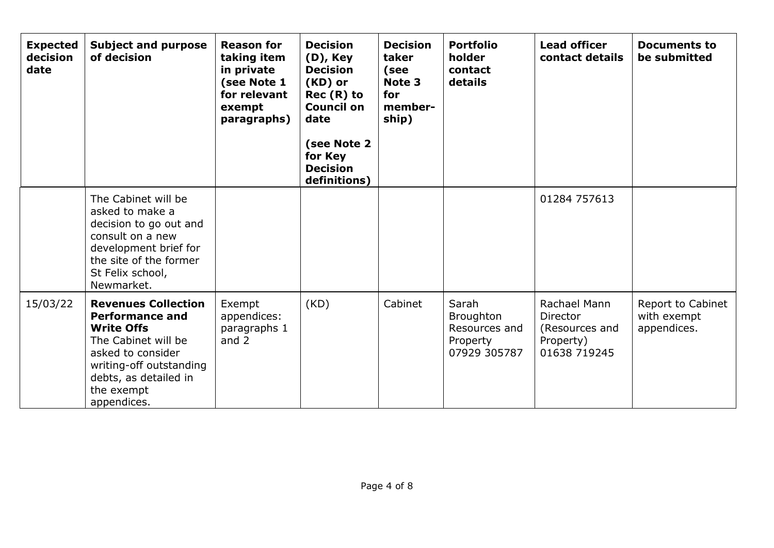| <b>Expected</b><br>decision<br>date | <b>Subject and purpose</b><br>of decision                                                                                                                                                              | <b>Reason for</b><br>taking item<br>in private<br>(see Note 1<br>for relevant<br>exempt<br>paragraphs) | <b>Decision</b><br>$(D)$ , Key<br><b>Decision</b><br>(KD) or<br>$Rec(R)$ to<br><b>Council on</b><br>date<br>(see Note 2<br>for Key<br><b>Decision</b><br>definitions) | <b>Decision</b><br>taker<br>(see<br>Note 3<br>for<br>member-<br>ship) | <b>Portfolio</b><br>holder<br>contact<br>details                       | <b>Lead officer</b><br>contact details                                         | <b>Documents to</b><br>be submitted             |
|-------------------------------------|--------------------------------------------------------------------------------------------------------------------------------------------------------------------------------------------------------|--------------------------------------------------------------------------------------------------------|-----------------------------------------------------------------------------------------------------------------------------------------------------------------------|-----------------------------------------------------------------------|------------------------------------------------------------------------|--------------------------------------------------------------------------------|-------------------------------------------------|
|                                     | The Cabinet will be<br>asked to make a<br>decision to go out and<br>consult on a new<br>development brief for<br>the site of the former<br>St Felix school,<br>Newmarket.                              |                                                                                                        |                                                                                                                                                                       |                                                                       |                                                                        | 01284 757613                                                                   |                                                 |
| 15/03/22                            | <b>Revenues Collection</b><br><b>Performance and</b><br><b>Write Offs</b><br>The Cabinet will be<br>asked to consider<br>writing-off outstanding<br>debts, as detailed in<br>the exempt<br>appendices. | Exempt<br>appendices:<br>paragraphs 1<br>and $2$                                                       | (KD)                                                                                                                                                                  | Cabinet                                                               | Sarah<br><b>Broughton</b><br>Resources and<br>Property<br>07929 305787 | Rachael Mann<br><b>Director</b><br>(Resources and<br>Property)<br>01638 719245 | Report to Cabinet<br>with exempt<br>appendices. |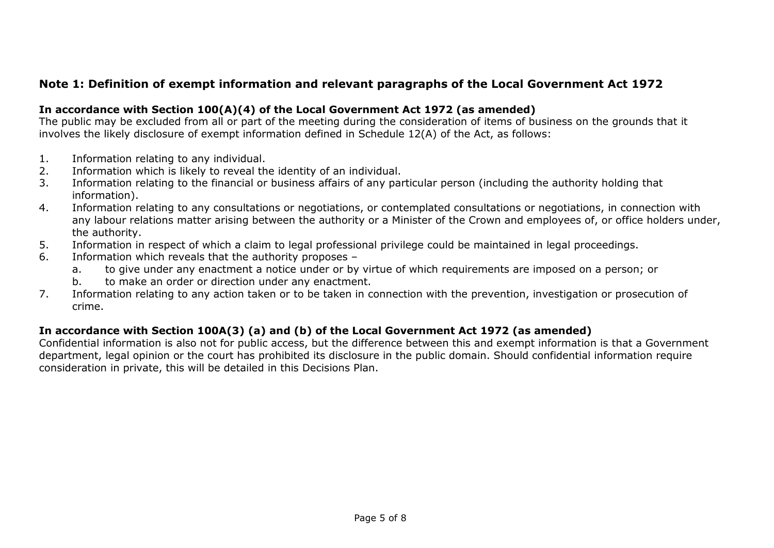## **Note 1: Definition of exempt information and relevant paragraphs of the Local Government Act 1972**

#### **In accordance with Section 100(A)(4) of the Local Government Act 1972 (as amended)**

The public may be excluded from all or part of the meeting during the consideration of items of business on the grounds that it involves the likely disclosure of exempt information defined in Schedule 12(A) of the Act, as follows:

- 1. Information relating to any individual.
- 2. Information which is likely to reveal the identity of an individual.
- 3. Information relating to the financial or business affairs of any particular person (including the authority holding that information).
- 4. Information relating to any consultations or negotiations, or contemplated consultations or negotiations, in connection with any labour relations matter arising between the authority or a Minister of the Crown and employees of, or office holders under, the authority.
- 5. Information in respect of which a claim to legal professional privilege could be maintained in legal proceedings.
- 6. Information which reveals that the authority proposes
	- a. to give under any enactment a notice under or by virtue of which requirements are imposed on a person; or
	- b. to make an order or direction under any enactment.
- 7. Information relating to any action taken or to be taken in connection with the prevention, investigation or prosecution of crime.

#### **In accordance with Section 100A(3) (a) and (b) of the Local Government Act 1972 (as amended)**

Confidential information is also not for public access, but the difference between this and exempt information is that a Government department, legal opinion or the court has prohibited its disclosure in the public domain. Should confidential information require consideration in private, this will be detailed in this Decisions Plan.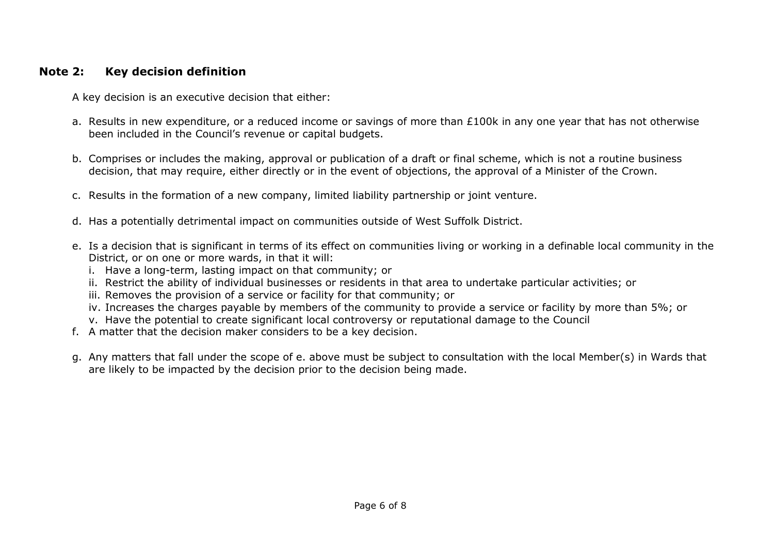### **Note 2: Key decision definition**

A key decision is an executive decision that either:

- a. Results in new expenditure, or a reduced income or savings of more than  $E100k$  in any one year that has not otherwise been included in the Council's revenue or capital budgets.
- b. Comprises or includes the making, approval or publication of a draft or final scheme, which is not a routine business decision, that may require, either directly or in the event of objections, the approval of a Minister of the Crown.
- c. Results in the formation of a new company, limited liability partnership or joint venture.
- d. Has a potentially detrimental impact on communities outside of West Suffolk District.
- e. Is a decision that is significant in terms of its effect on communities living or working in a definable local community in the District, or on one or more wards, in that it will:
	- i. Have a long-term, lasting impact on that community; or
	- ii. Restrict the ability of individual businesses or residents in that area to undertake particular activities; or
	- iii. Removes the provision of a service or facility for that community; or
	- iv. Increases the charges payable by members of the community to provide a service or facility by more than 5%; or
	- v. Have the potential to create significant local controversy or reputational damage to the Council
- f. A matter that the decision maker considers to be a key decision.
- g. Any matters that fall under the scope of e. above must be subject to consultation with the local Member(s) in Wards that are likely to be impacted by the decision prior to the decision being made.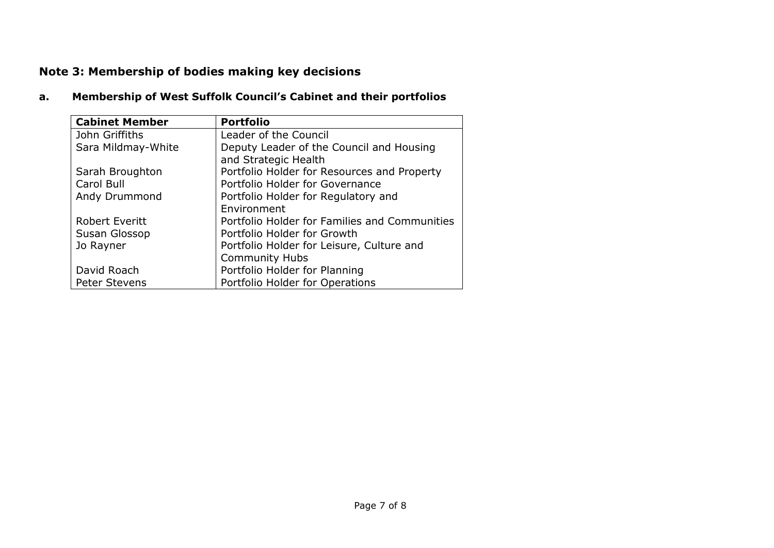# **Note 3: Membership of bodies making key decisions**

### **a. Membership of West Suffolk Council's Cabinet and their portfolios**

| <b>Cabinet Member</b> | <b>Portfolio</b>                                                 |  |  |
|-----------------------|------------------------------------------------------------------|--|--|
| John Griffiths        | Leader of the Council                                            |  |  |
| Sara Mildmay-White    | Deputy Leader of the Council and Housing<br>and Strategic Health |  |  |
| Sarah Broughton       | Portfolio Holder for Resources and Property                      |  |  |
| Carol Bull            | Portfolio Holder for Governance                                  |  |  |
| Andy Drummond         | Portfolio Holder for Regulatory and                              |  |  |
|                       | Environment                                                      |  |  |
| <b>Robert Everitt</b> | Portfolio Holder for Families and Communities                    |  |  |
| Susan Glossop         | Portfolio Holder for Growth                                      |  |  |
| Jo Rayner             | Portfolio Holder for Leisure, Culture and                        |  |  |
|                       | <b>Community Hubs</b>                                            |  |  |
| David Roach           | Portfolio Holder for Planning                                    |  |  |
| <b>Peter Stevens</b>  | Portfolio Holder for Operations                                  |  |  |